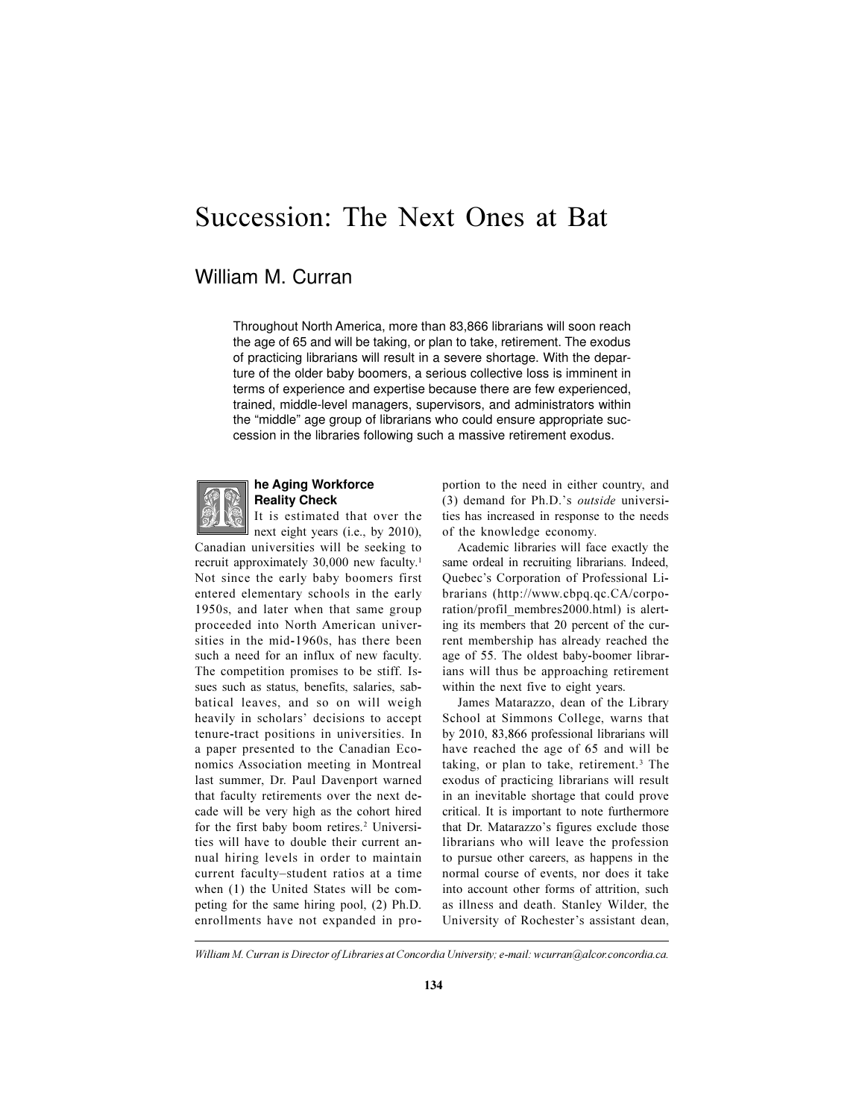# Succession: The Next Ones at Bat

# William M. Curran

Throughout North America, more than 83,866 librarians will soon reach the age of 65 and will be taking, or plan to take, retirement. The exodus of practicing librarians will result in a severe shortage. With the departure of the older baby boomers, a serious collective loss is imminent in terms of experience and expertise because there are few experienced, trained, middle-level managers, supervisors, and administrators within the "middle" age group of librarians who could ensure appropriate succession in the libraries following such a massive retirement exodus.



# **he Aging Workforce Reality Check**

It is estimated that over the next eight years (i.e., by 2010),

Canadian universities will be seeking to recruit approximately 30,000 new faculty. 1 Not since the early baby boomers first entered elementary schools in the early 1950s, and later when that same group proceeded into North American universities in the mid-1960s, has there been such a need for an influx of new faculty. The competition promises to be stiff. Issues such as status, benefits, salaries, sabbatical leaves, and so on will weigh heavily in scholars' decisions to accept tenure-tract positions in universities. In a paper presented to the Canadian Economics Association meeting in Montreal last summer, Dr. Paul Davenport warned that faculty retirements over the next decade will be very high as the cohort hired for the first baby boom retires.<sup>2</sup> Universities will have to double their current annual hiring levels in order to maintain current faculty-student ratios at a time when (1) the United States will be competing for the same hiring pool, (2) Ph.D. enrollments have not expanded in pro-

portion to the need in either country, and (3) demand for Ph.D.'s *outside* universities has increased in response to the needs of the knowledge economy.

Academic libraries will face exactly the same ordeal in recruiting librarians. Indeed, Quebec's Corporation of Professional Librarians (http://www.cbpq.qc.CA/corporation/profil\_membres2000.html) is alerting its members that 20 percent of the current membership has already reached the age of 55. The oldest baby-boomer librarians will thus be approaching retirement within the next five to eight years.

James Matarazzo, dean of the Library School at Simmons College, warns that by 2010, 83,866 professional librarians will have reached the age of 65 and will be taking, or plan to take, retirement.<sup>3</sup> The exodus of practicing librarians will result in an inevitable shortage that could prove critical. It is important to note furthermore that Dr. Matarazzo's figures exclude those librarians who will leave the profession to pursue other careers, as happens in the normal course of events, nor does it take into account other forms of attrition, such as illness and death. Stanley Wilder, the University of Rochester's assistant dean,

*William M. Curran is Director of Libraries at Concordia University; e-mail: wcurran@alcor.concordia.ca.*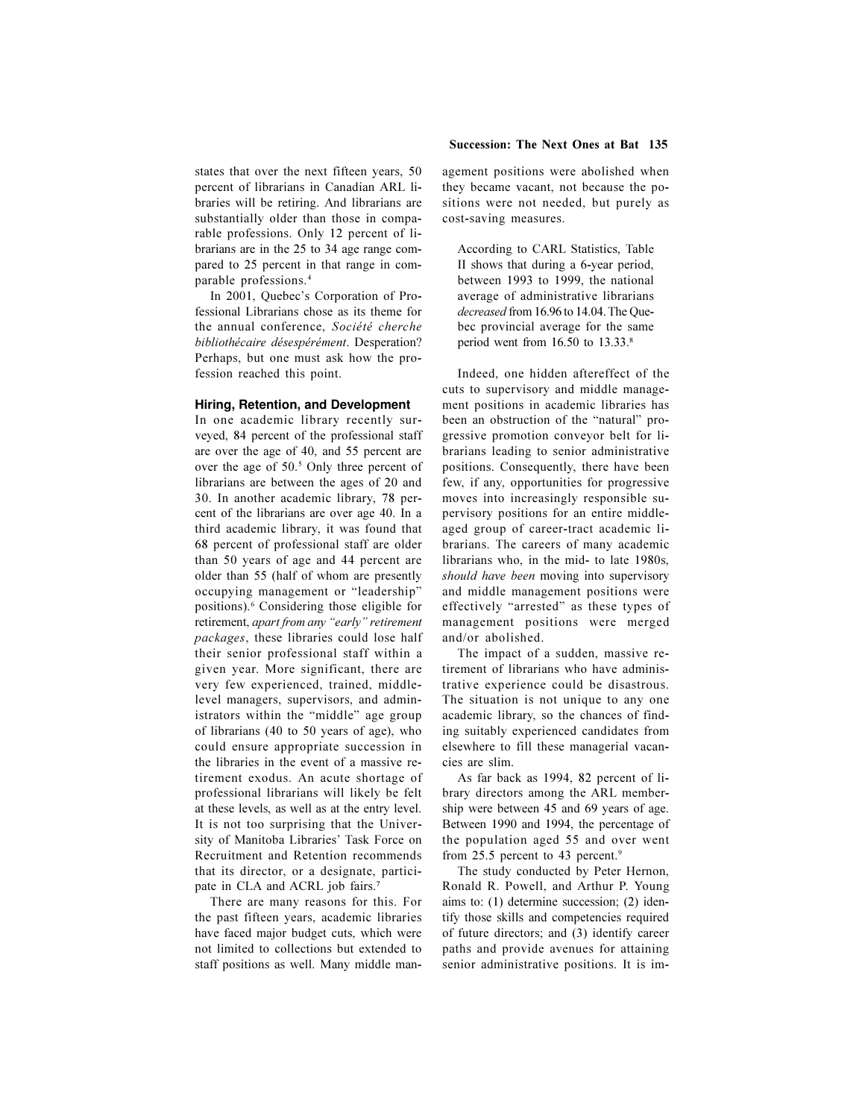states that over the next fifteen years, 50 percent of librarians in Canadian ARL libraries will be retiring. And librarians are substantially older than those in comparable professions. Only 12 percent of librarians are in the 25 to 34 age range compared to 25 percent in that range in comparable professions.<sup>4</sup>

In 2001, Quebec's Corporation of Professional Librarians chose as its theme for the annual conference, *Société cherche bibliothécaire désespérément*. Desperation? Perhaps, but one must ask how the profession reached this point.

#### **Hiring, Retention, and Development**

In one academic library recently surveyed, 84 percent of the professional staff are over the age of 40, and 55 percent are over the age of 50.<sup>5</sup> Only three percent of librarians are between the ages of 20 and 30. In another academic library, 78 percent of the librarians are over age 40. In a third academic library, it was found that 68 percent of professional staff are older than 50 years of age and 44 percent are older than 55 (half of whom are presently occupying management or "leadership" positions).<sup>6</sup> Considering those eligible for retirement, *apart from any "early" retirement packages*, these libraries could lose half their senior professional staff within a given year. More significant, there are very few experienced, trained, middlelevel managers, supervisors, and administrators within the "middle" age group of librarians (40 to 50 years of age), who could ensure appropriate succession in the libraries in the event of a massive retirement exodus. An acute shortage of professional librarians will likely be felt at these levels, as well as at the entry level. It is not too surprising that the University of Manitoba Libraries' Task Force on Recruitment and Retention recommends that its director, or a designate, participate in CLA and ACRL job fairs.<sup>7</sup>

There are many reasons for this. For the past fifteen years, academic libraries have faced major budget cuts, which were not limited to collections but extended to staff positions as well. Many middle management positions were abolished when they became vacant, not because the positions were not needed, but purely as cost-saving measures.

According to CARL Statistics, Table II shows that during a 6-year period, between 1993 to 1999, the national average of administrative librarians *decreased* from 16.96 to 14.04. The Quebec provincial average for the same period went from 16.50 to 13.33.<sup>8</sup>

Indeed, one hidden aftereffect of the cuts to supervisory and middle management positions in academic libraries has been an obstruction of the "natural" progressive promotion conveyor belt for librarians leading to senior administrative positions. Consequently, there have been few, if any, opportunities for progressive moves into increasingly responsible supervisory positions for an entire middleaged group of career-tract academic librarians. The careers of many academic librarians who, in the mid- to late 1980s, *should have been* moving into supervisory and middle management positions were effectively "arrested" as these types of management positions were merged and/or abolished.

The impact of a sudden, massive retirement of librarians who have administrative experience could be disastrous. The situation is not unique to any one academic library, so the chances of finding suitably experienced candidates from elsewhere to fill these managerial vacancies are slim.

As far back as 1994, 82 percent of library directors among the ARL membership were between 45 and 69 years of age. Between 1990 and 1994, the percentage of the population aged 55 and over went from 25.5 percent to 43 percent.<sup>9</sup>

The study conducted by Peter Hernon, Ronald R. Powell, and Arthur P. Young aims to: (1) determine succession; (2) identify those skills and competencies required of future directors; and (3) identify career paths and provide avenues for attaining senior administrative positions. It is im-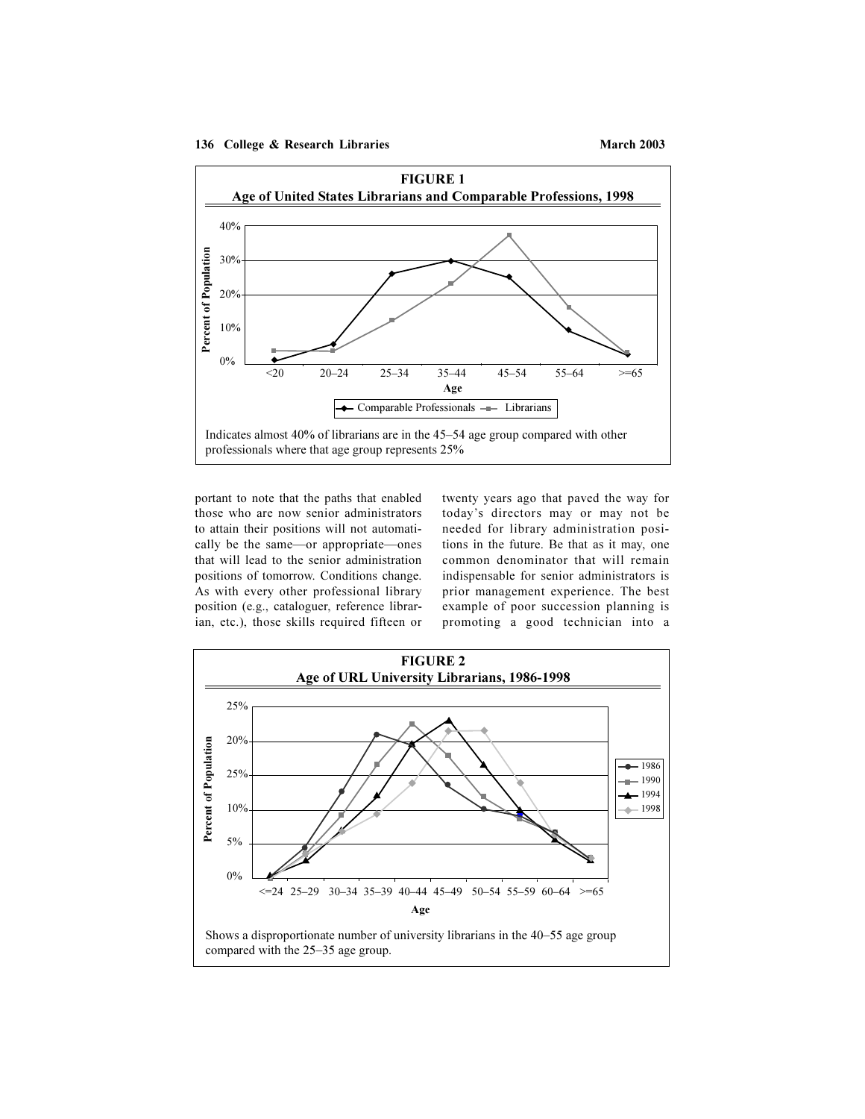

portant to note that the paths that enabled those who are now senior administrators to attain their positions will not automatically be the same—or appropriate—ones that will lead to the senior administration positions of tomorrow. Conditions change. As with every other professional library position (e.g., cataloguer, reference librarian, etc.), those skills required fifteen or twenty years ago that paved the way for todays directors may or may not be needed for library administration positions in the future. Be that as it may, one common denominator that will remain indispensable for senior administrators is prior management experience. The best example of poor succession planning is promoting a good technician into a

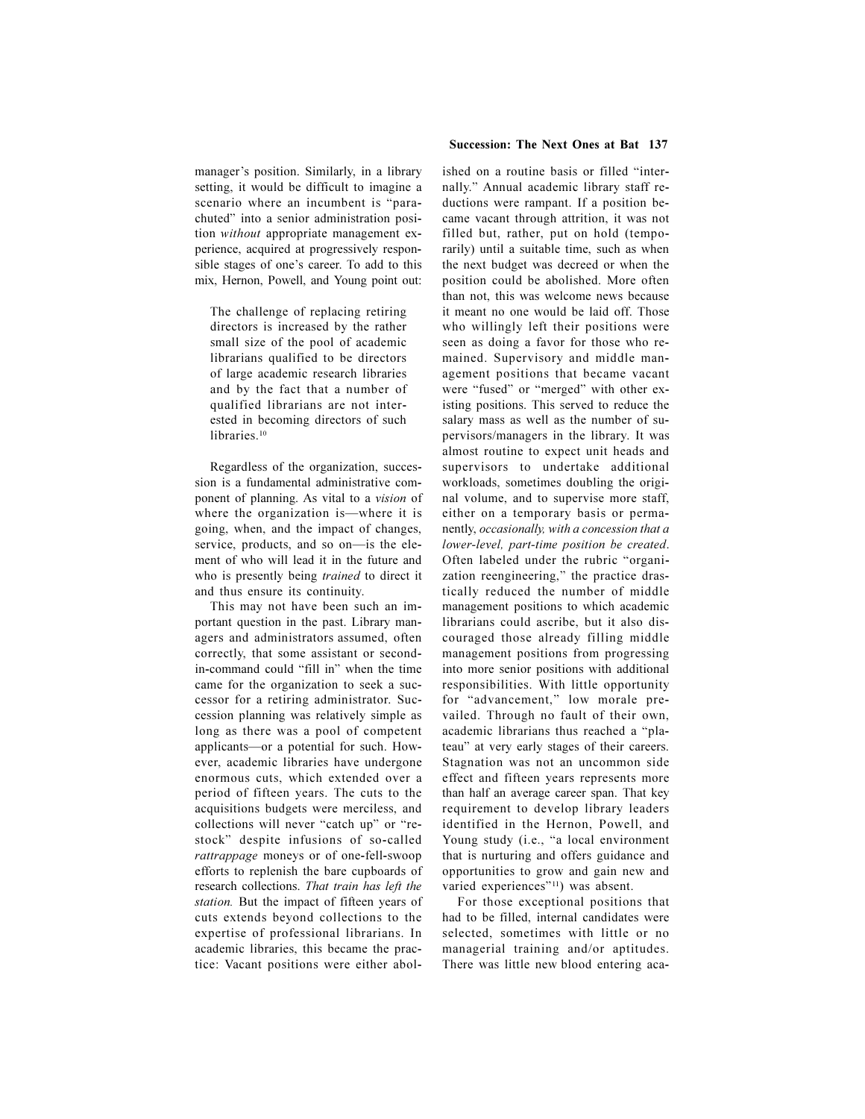manager's position. Similarly, in a library setting, it would be difficult to imagine a scenario where an incumbent is "parachuted" into a senior administration position *without* appropriate management experience, acquired at progressively responsible stages of one's career. To add to this mix, Hernon, Powell, and Young point out:

The challenge of replacing retiring directors is increased by the rather small size of the pool of academic librarians qualified to be directors of large academic research libraries and by the fact that a number of qualified librarians are not interested in becoming directors of such libraries.<sup>10</sup>

Regardless of the organization, succession is a fundamental administrative component of planning. As vital to a *vision* of where the organization is—where it is going, when, and the impact of changes, service, products, and so on-is the element of who will lead it in the future and who is presently being *trained* to direct it and thus ensure its continuity.

This may not have been such an important question in the past. Library managers and administrators assumed, often correctly, that some assistant or secondin-command could "fill in" when the time came for the organization to seek a successor for a retiring administrator. Succession planning was relatively simple as long as there was a pool of competent applicants-or a potential for such. However, academic libraries have undergone enormous cuts, which extended over a period of fifteen years. The cuts to the acquisitions budgets were merciless, and collections will never "catch up" or "restock" despite infusions of so-called *rattrappage* moneys or of one-fell-swoop efforts to replenish the bare cupboards of research collections. *That train has left the station.* But the impact of fifteen years of cuts extends beyond collections to the expertise of professional librarians. In academic libraries, this became the practice: Vacant positions were either abolished on a routine basis or filled "internally." Annual academic library staff reductions were rampant. If a position became vacant through attrition, it was not filled but, rather, put on hold (temporarily) until a suitable time, such as when the next budget was decreed or when the position could be abolished. More often than not, this was welcome news because it meant no one would be laid off. Those who willingly left their positions were seen as doing a favor for those who remained. Supervisory and middle management positions that became vacant were "fused" or "merged" with other existing positions. This served to reduce the salary mass as well as the number of supervisors/managers in the library. It was almost routine to expect unit heads and supervisors to undertake additional workloads, sometimes doubling the original volume, and to supervise more staff, either on a temporary basis or permanently, *occasionally, with a concession that a lower-level, part-time position be created*. Often labeled under the rubric "organization reengineering," the practice drastically reduced the number of middle management positions to which academic librarians could ascribe, but it also discouraged those already filling middle management positions from progressing into more senior positions with additional responsibilities. With little opportunity for "advancement," low morale prevailed. Through no fault of their own, academic librarians thus reached a "plateau" at very early stages of their careers. Stagnation was not an uncommon side effect and fifteen years represents more than half an average career span. That key requirement to develop library leaders identified in the Hernon, Powell, and Young study (i.e., "a local environment that is nurturing and offers guidance and opportunities to grow and gain new and varied experiences"<sup>11</sup>) was absent.

For those exceptional positions that had to be filled, internal candidates were selected, sometimes with little or no managerial training and/or aptitudes. There was little new blood entering aca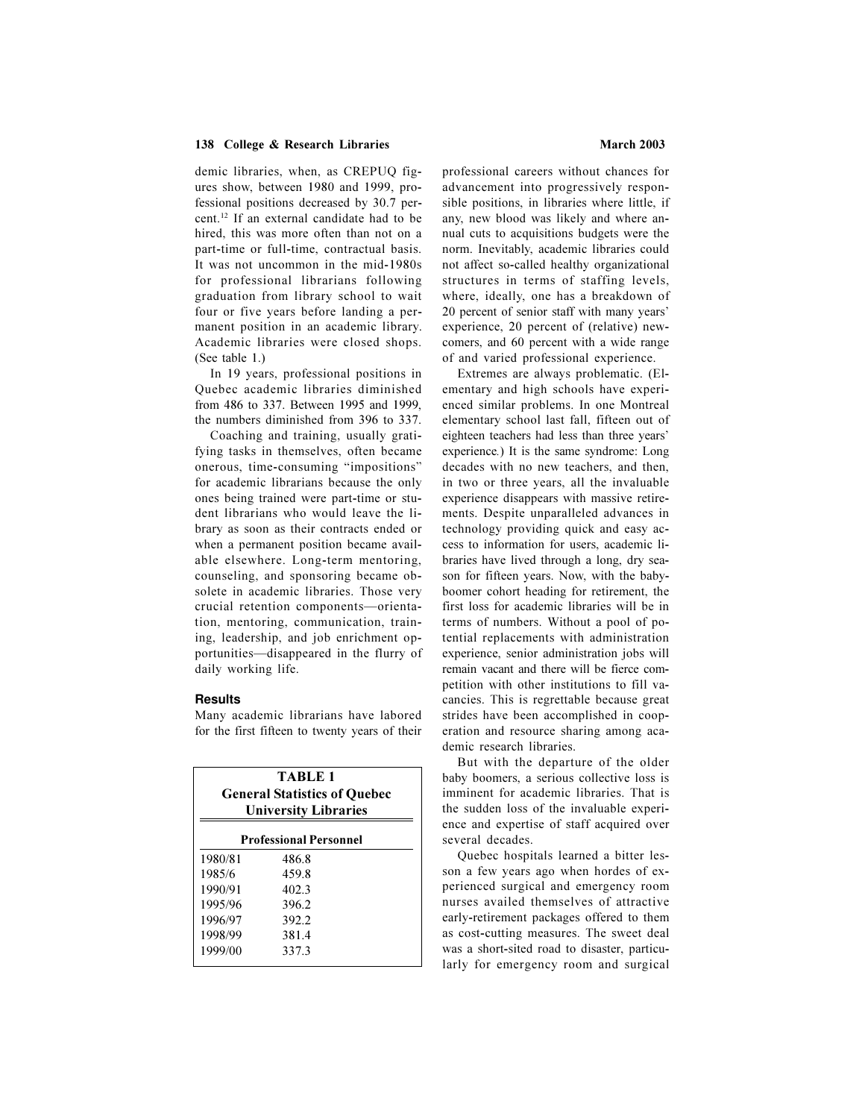demic libraries, when, as CREPUQ figures show, between 1980 and 1999, professional positions decreased by 30.7 percent.<sup>12</sup> If an external candidate had to be hired, this was more often than not on a part-time or full-time, contractual basis. It was not uncommon in the mid-1980s for professional librarians following graduation from library school to wait four or five years before landing a permanent position in an academic library. Academic libraries were closed shops. (See table 1.)

In 19 years, professional positions in Quebec academic libraries diminished from 486 to 337. Between 1995 and 1999, the numbers diminished from 396 to 337.

Coaching and training, usually gratifying tasks in themselves, often became onerous, time-consuming "impositions" for academic librarians because the only ones being trained were part-time or student librarians who would leave the library as soon as their contracts ended or when a permanent position became available elsewhere. Long-term mentoring, counseling, and sponsoring became obsolete in academic libraries. Those very crucial retention components-orientation, mentoring, communication, training, leadership, and job enrichment opportunities—disappeared in the flurry of daily working life.

## **Results**

Many academic librarians have labored for the first fifteen to twenty years of their

| <b>TABLE 1</b><br><b>General Statistics of Ouebec</b><br><b>University Libraries</b> |       |  |
|--------------------------------------------------------------------------------------|-------|--|
| <b>Professional Personnel</b>                                                        |       |  |
| 1980/81                                                                              | 486.8 |  |
| 1985/6                                                                               | 459.8 |  |
| 1990/91                                                                              | 402.3 |  |
| 1995/96                                                                              | 396.2 |  |
| 1996/97                                                                              | 392.2 |  |
| 1998/99                                                                              | 381.4 |  |
| 1999/00                                                                              | 337.3 |  |

professional careers without chances for advancement into progressively responsible positions, in libraries where little, if any, new blood was likely and where annual cuts to acquisitions budgets were the norm. Inevitably, academic libraries could not affect so-called healthy organizational structures in terms of staffing levels, where, ideally, one has a breakdown of 20 percent of senior staff with many years experience, 20 percent of (relative) newcomers, and 60 percent with a wide range of and varied professional experience.

Extremes are always problematic. (Elementary and high schools have experienced similar problems. In one Montreal elementary school last fall, fifteen out of eighteen teachers had less than three years experience*.*) It is the same syndrome: Long decades with no new teachers, and then, in two or three years, all the invaluable experience disappears with massive retirements. Despite unparalleled advances in technology providing quick and easy access to information for users, academic libraries have lived through a long, dry season for fifteen years. Now, with the babyboomer cohort heading for retirement, the first loss for academic libraries will be in terms of numbers. Without a pool of potential replacements with administration experience, senior administration jobs will remain vacant and there will be fierce competition with other institutions to fill vacancies. This is regrettable because great strides have been accomplished in cooperation and resource sharing among academic research libraries.

But with the departure of the older baby boomers, a serious collective loss is imminent for academic libraries. That is the sudden loss of the invaluable experience and expertise of staff acquired over several decades.

Quebec hospitals learned a bitter lesson a few years ago when hordes of experienced surgical and emergency room nurses availed themselves of attractive early-retirement packages offered to them as cost-cutting measures. The sweet deal was a short-sited road to disaster, particularly for emergency room and surgical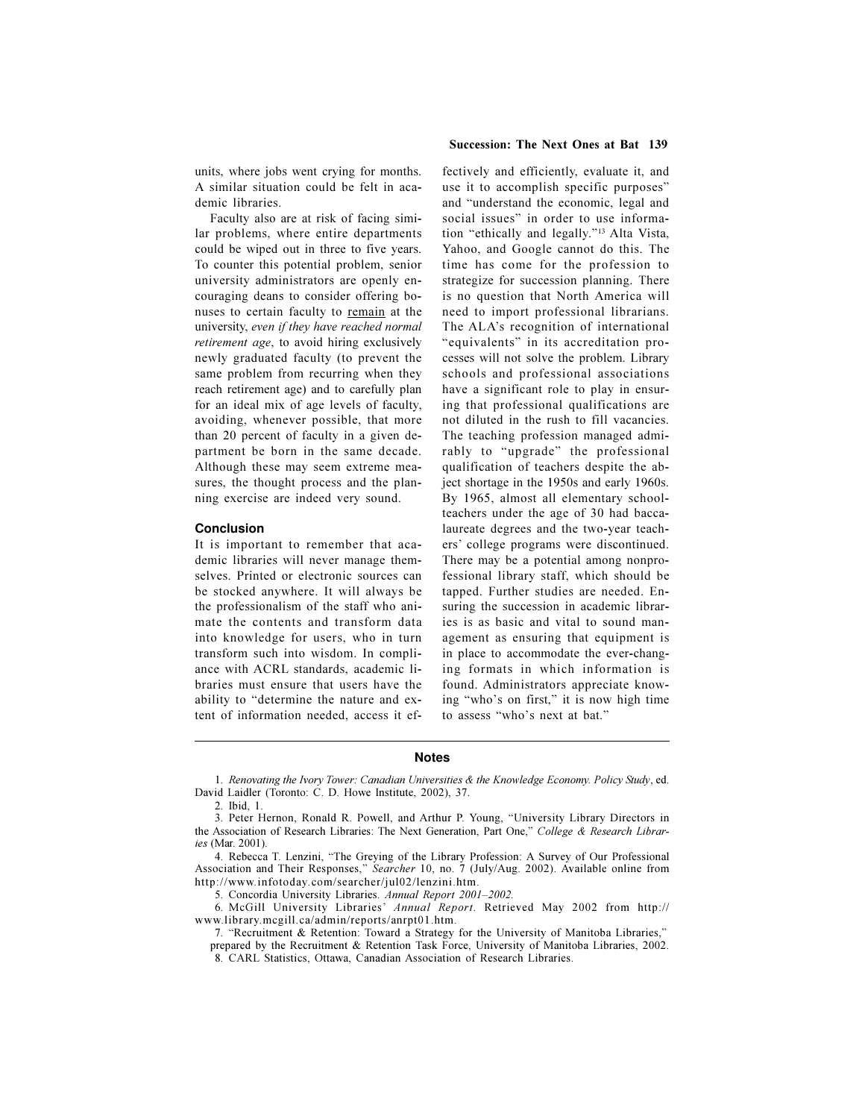units, where jobs went crying for months. A similar situation could be felt in academic libraries.

Faculty also are at risk of facing similar problems, where entire departments could be wiped out in three to five years. To counter this potential problem, senior university administrators are openly encouraging deans to consider offering bonuses to certain faculty to remain at the university, *even if they have reached normal retirement age*, to avoid hiring exclusively newly graduated faculty (to prevent the same problem from recurring when they reach retirement age) and to carefully plan for an ideal mix of age levels of faculty, avoiding, whenever possible, that more than 20 percent of faculty in a given department be born in the same decade. Although these may seem extreme measures, the thought process and the planning exercise are indeed very sound.

## **Conclusion**

It is important to remember that academic libraries will never manage themselves. Printed or electronic sources can be stocked anywhere. It will always be the professionalism of the staff who animate the contents and transform data into knowledge for users, who in turn transform such into wisdom. In compliance with ACRL standards, academic libraries must ensure that users have the ability to "determine the nature and extent of information needed, access it ef-

fectively and efficiently, evaluate it, and use it to accomplish specific purposes and "understand the economic, legal and social issues" in order to use information "ethically and legally."<sup>13</sup> Alta Vista, Yahoo, and Google cannot do this. The time has come for the profession to strategize for succession planning. There is no question that North America will need to import professional librarians. The ALA's recognition of international "equivalents" in its accreditation processes will not solve the problem. Library schools and professional associations have a significant role to play in ensuring that professional qualifications are not diluted in the rush to fill vacancies. The teaching profession managed admirably to "upgrade" the professional qualification of teachers despite the abject shortage in the 1950s and early 1960s. By 1965, almost all elementary schoolteachers under the age of 30 had baccalaureate degrees and the two-year teachers' college programs were discontinued. There may be a potential among nonprofessional library staff, which should be tapped. Further studies are needed. Ensuring the succession in academic libraries is as basic and vital to sound management as ensuring that equipment is in place to accommodate the ever-changing formats in which information is found. Administrators appreciate knowing "who's on first," it is now high time to assess "who's next at bat."

**Notes**

8. CARL Statistics, Ottawa, Canadian Association of Research Libraries.

<sup>1.</sup> *Renovating the Ivory Tower: Canadian Universities & the Knowledge Economy. Policy Study*, ed. David Laidler (Toronto: C. D. Howe Institute, 2002), 37.

<sup>2.</sup> Ibid, 1.

<sup>3.</sup> Peter Hernon, Ronald R. Powell, and Arthur P. Young, "University Library Directors in the Association of Research Libraries: The Next Generation, Part One," College & Research Librar*ies* (Mar. 2001).

<sup>4.</sup> Rebecca T. Lenzini, The Greying of the Library Profession: A Survey of Our Professional Association and Their Responses," Searcher 10, no. 7 (July/Aug. 2002). Available online from http://www.infotoday.com/searcher/jul02/lenzini.htm.

<sup>5.</sup> Concordia University Libraries. Annual Report 2001-2002.

<sup>6.</sup> McGill University Libraries *Annual Report*. Retrieved May 2002 from http:// www.library.mcgill.ca/admin/reports/anrpt01.htm.

<sup>7. &</sup>quot;Recruitment & Retention: Toward a Strategy for the University of Manitoba Libraries," prepared by the Recruitment & Retention Task Force, University of Manitoba Libraries, 2002.